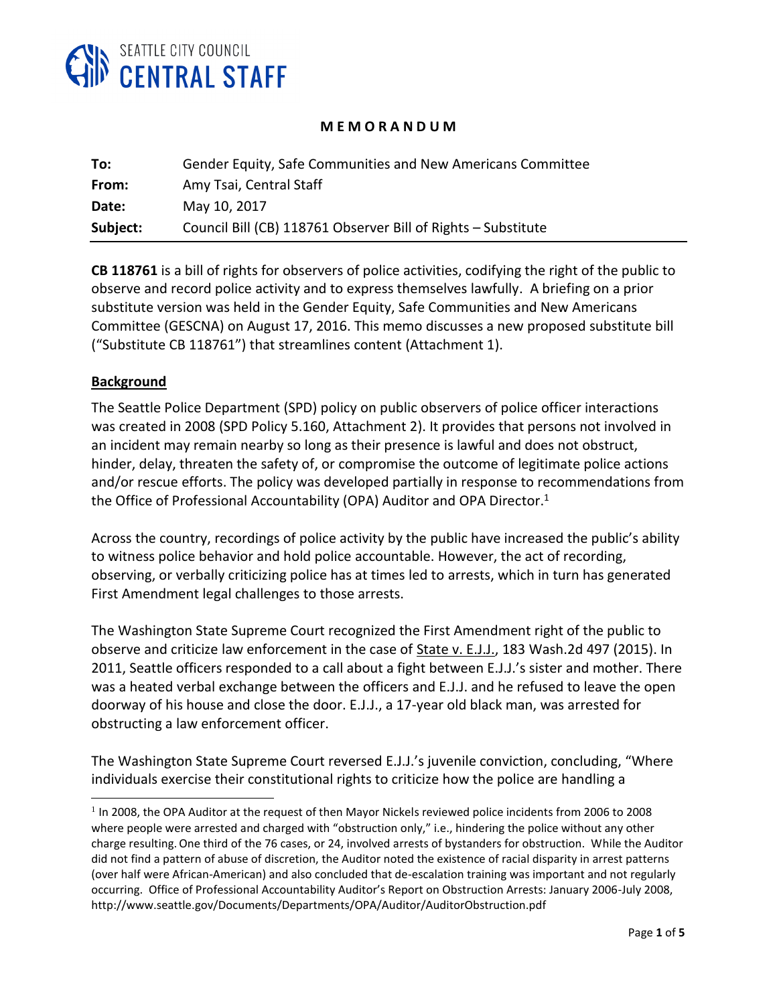

### **M E M O R A N D U M**

| To:      | Gender Equity, Safe Communities and New Americans Committee   |
|----------|---------------------------------------------------------------|
| From:    | Amy Tsai, Central Staff                                       |
| Date:    | May 10, 2017                                                  |
| Subject: | Council Bill (CB) 118761 Observer Bill of Rights - Substitute |

**CB 118761** is a bill of rights for observers of police activities, codifying the right of the public to observe and record police activity and to express themselves lawfully. A briefing on a prior substitute version was held in the Gender Equity, Safe Communities and New Americans Committee (GESCNA) on August 17, 2016. This memo discusses a new proposed substitute bill ("Substitute CB 118761") that streamlines content (Attachment 1).

#### **Background**

l

The Seattle Police Department (SPD) policy on public observers of police officer interactions was created in 2008 (SPD Policy 5.160, Attachment 2). It provides that persons not involved in an incident may remain nearby so long as their presence is lawful and does not obstruct, hinder, delay, threaten the safety of, or compromise the outcome of legitimate police actions and/or rescue efforts. The policy was developed partially in response to recommendations from the Office of Professional Accountability (OPA) Auditor and OPA Director.<sup>1</sup>

Across the country, recordings of police activity by the public have increased the public's ability to witness police behavior and hold police accountable. However, the act of recording, observing, or verbally criticizing police has at times led to arrests, which in turn has generated First Amendment legal challenges to those arrests.

The Washington State Supreme Court recognized the First Amendment right of the public to observe and criticize law enforcement in the case of **State v. E.J.J., 183 Wash.2d 497 (2015).** In 2011, Seattle officers responded to a call about a fight between E.J.J.'s sister and mother. There was a heated verbal exchange between the officers and E.J.J. and he refused to leave the open doorway of his house and close the door. E.J.J., a 17-year old black man, was arrested for obstructing a law enforcement officer.

The Washington State Supreme Court reversed E.J.J.'s juvenile conviction, concluding, "Where individuals exercise their constitutional rights to criticize how the police are handling a

 $1$  In 2008, the OPA Auditor at the request of then Mayor Nickels reviewed police incidents from 2006 to 2008 where people were arrested and charged with "obstruction only," i.e., hindering the police without any other charge resulting.One third of the 76 cases, or 24, involved arrests of bystanders for obstruction. While the Auditor did not find a pattern of abuse of discretion, the Auditor noted the existence of racial disparity in arrest patterns (over half were African-American) and also concluded that de-escalation training was important and not regularly occurring. Office of Professional Accountability Auditor's Report on Obstruction Arrests: January 2006-July 2008, http://www.seattle.gov/Documents/Departments/OPA/Auditor/AuditorObstruction.pdf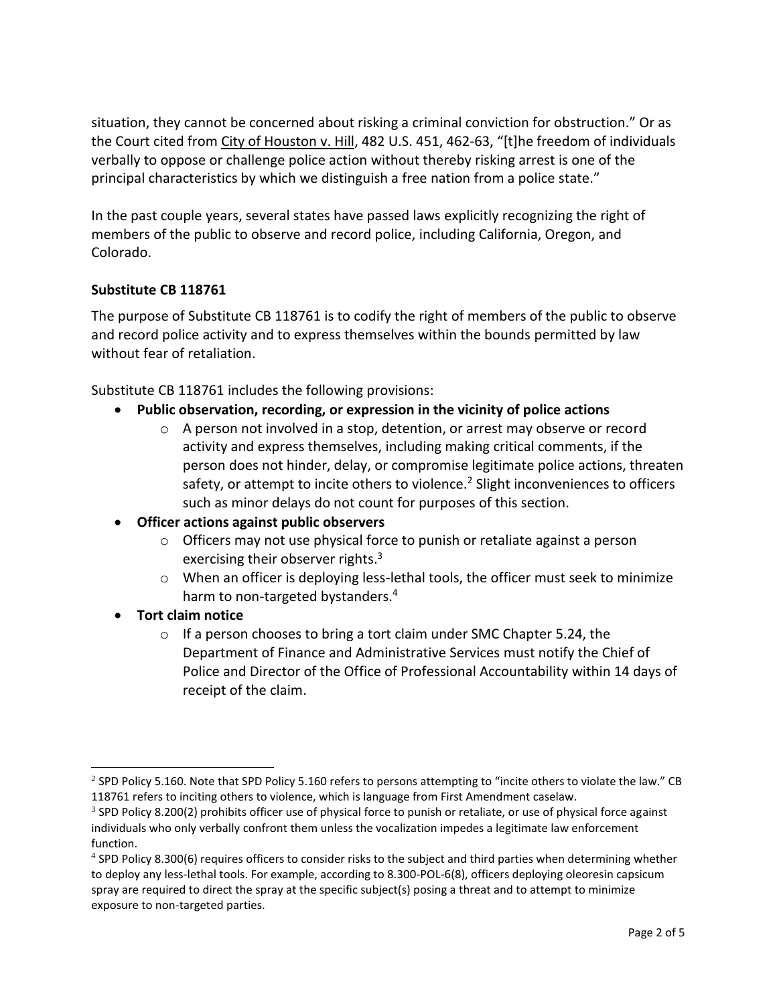situation, they cannot be concerned about risking a criminal conviction for obstruction." Or as the Court cited from City of Houston v. Hill, 482 U.S. 451, 462-63, "[t]he freedom of individuals verbally to oppose or challenge police action without thereby risking arrest is one of the principal characteristics by which we distinguish a free nation from a police state."

In the past couple years, several states have passed laws explicitly recognizing the right of members of the public to observe and record police, including California, Oregon, and Colorado.

# **Substitute CB 118761**

The purpose of Substitute CB 118761 is to codify the right of members of the public to observe and record police activity and to express themselves within the bounds permitted by law without fear of retaliation.

Substitute CB 118761 includes the following provisions:

- **Public observation, recording, or expression in the vicinity of police actions**
	- $\circ$  A person not involved in a stop, detention, or arrest may observe or record activity and express themselves, including making critical comments, if the person does not hinder, delay, or compromise legitimate police actions, threaten safety, or attempt to incite others to violence.<sup>2</sup> Slight inconveniences to officers such as minor delays do not count for purposes of this section.
- **Officer actions against public observers**
	- o Officers may not use physical force to punish or retaliate against a person exercising their observer rights.<sup>3</sup>
	- o When an officer is deploying less-lethal tools, the officer must seek to minimize harm to non-targeted bystanders.<sup>4</sup>
- **Tort claim notice**

l

o If a person chooses to bring a tort claim under SMC Chapter 5.24, the Department of Finance and Administrative Services must notify the Chief of Police and Director of the Office of Professional Accountability within 14 days of receipt of the claim.

<sup>&</sup>lt;sup>2</sup> SPD Policy 5.160. Note that SPD Policy 5.160 refers to persons attempting to "incite others to violate the law." CB 118761 refers to inciting others to violence, which is language from First Amendment caselaw.

 $3$  SPD Policy 8.200(2) prohibits officer use of physical force to punish or retaliate, or use of physical force against individuals who only verbally confront them unless the vocalization impedes a legitimate law enforcement function.

<sup>&</sup>lt;sup>4</sup> SPD Policy 8.300(6) requires officers to consider risks to the subject and third parties when determining whether to deploy any less-lethal tools. For example, according to 8.300-POL-6(8), officers deploying oleoresin capsicum spray are required to direct the spray at the specific subject(s) posing a threat and to attempt to minimize exposure to non-targeted parties.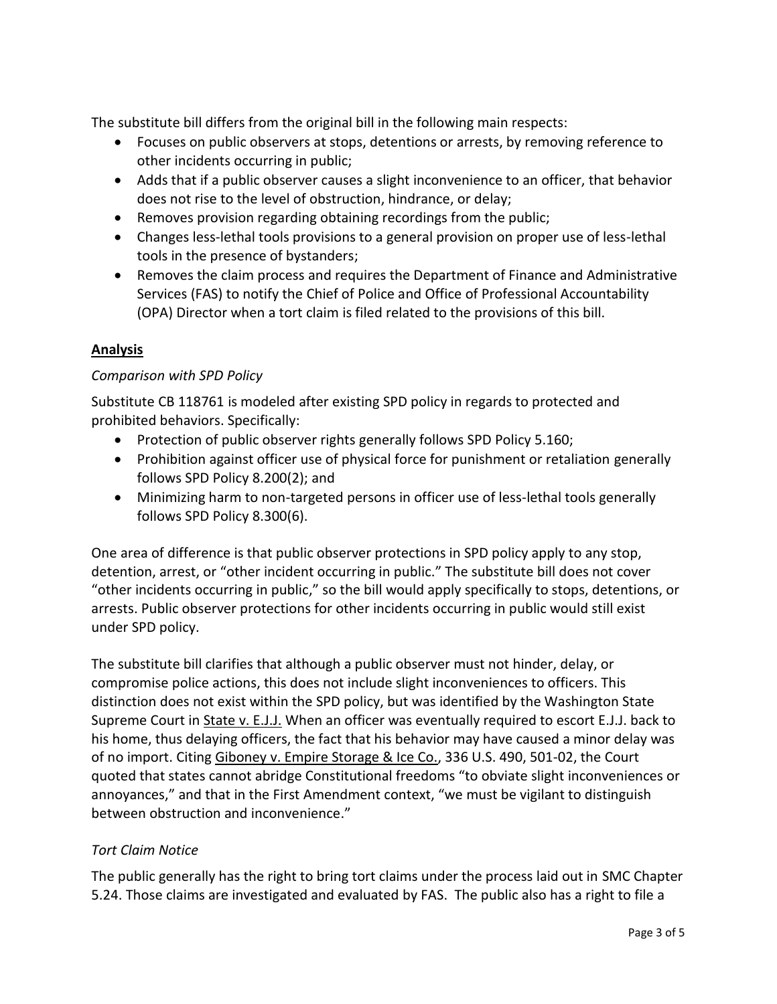The substitute bill differs from the original bill in the following main respects:

- Focuses on public observers at stops, detentions or arrests, by removing reference to other incidents occurring in public;
- Adds that if a public observer causes a slight inconvenience to an officer, that behavior does not rise to the level of obstruction, hindrance, or delay;
- Removes provision regarding obtaining recordings from the public;
- Changes less-lethal tools provisions to a general provision on proper use of less-lethal tools in the presence of bystanders;
- Removes the claim process and requires the Department of Finance and Administrative Services (FAS) to notify the Chief of Police and Office of Professional Accountability (OPA) Director when a tort claim is filed related to the provisions of this bill.

#### **Analysis**

#### *Comparison with SPD Policy*

Substitute CB 118761 is modeled after existing SPD policy in regards to protected and prohibited behaviors. Specifically:

- Protection of public observer rights generally follows SPD Policy 5.160;
- Prohibition against officer use of physical force for punishment or retaliation generally follows SPD Policy 8.200(2); and
- Minimizing harm to non-targeted persons in officer use of less-lethal tools generally follows SPD Policy 8.300(6).

One area of difference is that public observer protections in SPD policy apply to any stop, detention, arrest, or "other incident occurring in public." The substitute bill does not cover "other incidents occurring in public," so the bill would apply specifically to stops, detentions, or arrests. Public observer protections for other incidents occurring in public would still exist under SPD policy.

The substitute bill clarifies that although a public observer must not hinder, delay, or compromise police actions, this does not include slight inconveniences to officers. This distinction does not exist within the SPD policy, but was identified by the Washington State Supreme Court in State v. E.J.J. When an officer was eventually required to escort E.J.J. back to his home, thus delaying officers, the fact that his behavior may have caused a minor delay was of no import. Citing Giboney v. Empire Storage & Ice Co., 336 U.S. 490, 501-02, the Court quoted that states cannot abridge Constitutional freedoms "to obviate slight inconveniences or annoyances," and that in the First Amendment context, "we must be vigilant to distinguish between obstruction and inconvenience."

# *Tort Claim Notice*

The public generally has the right to bring tort claims under the process laid out in SMC Chapter 5.24. Those claims are investigated and evaluated by FAS. The public also has a right to file a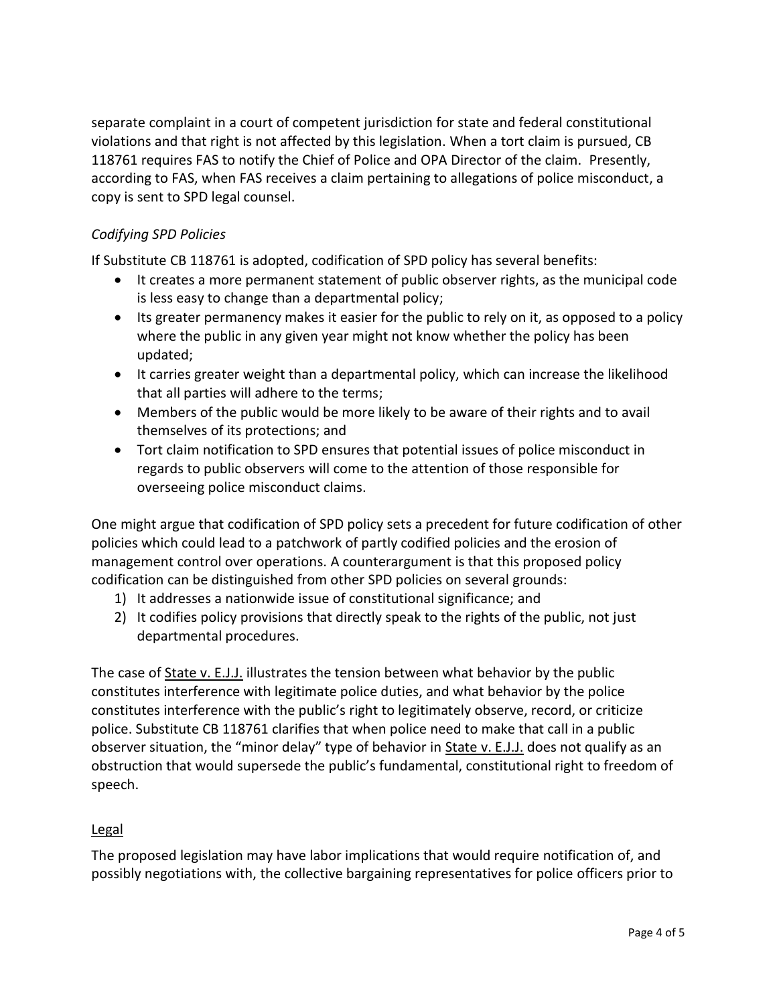separate complaint in a court of competent jurisdiction for state and federal constitutional violations and that right is not affected by this legislation. When a tort claim is pursued, CB 118761 requires FAS to notify the Chief of Police and OPA Director of the claim. Presently, according to FAS, when FAS receives a claim pertaining to allegations of police misconduct, a copy is sent to SPD legal counsel.

# *Codifying SPD Policies*

If Substitute CB 118761 is adopted, codification of SPD policy has several benefits:

- It creates a more permanent statement of public observer rights, as the municipal code is less easy to change than a departmental policy;
- Its greater permanency makes it easier for the public to rely on it, as opposed to a policy where the public in any given year might not know whether the policy has been updated;
- It carries greater weight than a departmental policy, which can increase the likelihood that all parties will adhere to the terms;
- Members of the public would be more likely to be aware of their rights and to avail themselves of its protections; and
- Tort claim notification to SPD ensures that potential issues of police misconduct in regards to public observers will come to the attention of those responsible for overseeing police misconduct claims.

One might argue that codification of SPD policy sets a precedent for future codification of other policies which could lead to a patchwork of partly codified policies and the erosion of management control over operations. A counterargument is that this proposed policy codification can be distinguished from other SPD policies on several grounds:

- 1) It addresses a nationwide issue of constitutional significance; and
- 2) It codifies policy provisions that directly speak to the rights of the public, not just departmental procedures.

The case of State v. E.J.J. illustrates the tension between what behavior by the public constitutes interference with legitimate police duties, and what behavior by the police constitutes interference with the public's right to legitimately observe, record, or criticize police. Substitute CB 118761 clarifies that when police need to make that call in a public observer situation, the "minor delay" type of behavior in State v. E.J.J. does not qualify as an obstruction that would supersede the public's fundamental, constitutional right to freedom of speech.

# Legal

The proposed legislation may have labor implications that would require notification of, and possibly negotiations with, the collective bargaining representatives for police officers prior to